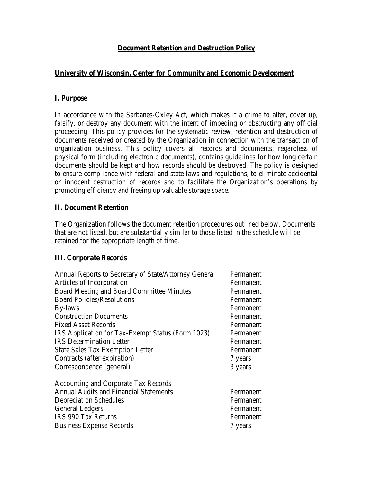# **Document Retention and Destruction Policy**

# **University of Wisconsin. Center for Community and Economic Development**

## **I. Purpose**

In accordance with the Sarbanes-Oxley Act, which makes it a crime to alter, cover up, falsify, or destroy any document with the intent of impeding or obstructing any official proceeding. This policy provides for the systematic review, retention and destruction of documents received or created by the Organization in connection with the transaction of organization business. This policy covers all records and documents, regardless of physical form (including electronic documents), contains guidelines for how long certain documents should be kept and how records should be destroyed. The policy is designed to ensure compliance with federal and state laws and regulations, to eliminate accidental or innocent destruction of records and to facilitate the Organization's operations by promoting efficiency and freeing up valuable storage space.

## **II. Document Retention**

The Organization follows the document retention procedures outlined below. Documents that are not listed, but are substantially similar to those listed in the schedule will be retained for the appropriate length of time.

## **III. Corporate Records**

| Annual Reports to Secretary of State/Attorney General | Permanent |
|-------------------------------------------------------|-----------|
| Articles of Incorporation                             | Permanent |
| Board Meeting and Board Committee Minutes             | Permanent |
| <b>Board Policies/Resolutions</b>                     | Permanent |
| By-laws                                               | Permanent |
| <b>Construction Documents</b>                         | Permanent |
| <b>Fixed Asset Records</b>                            | Permanent |
| IRS Application for Tax-Exempt Status (Form 1023)     | Permanent |
| <b>IRS</b> Determination Letter                       | Permanent |
| <b>State Sales Tax Exemption Letter</b>               | Permanent |
| Contracts (after expiration)                          | 7 years   |
| Correspondence (general)                              | 3 years   |
| Accounting and Corporate Tax Records                  |           |
| <b>Annual Audits and Financial Statements</b>         | Permanent |
| <b>Depreciation Schedules</b>                         | Permanent |
| General Ledgers                                       | Permanent |
| <b>IRS 990 Tax Returns</b>                            | Permanent |
| <b>Business Expense Records</b>                       | 7 years   |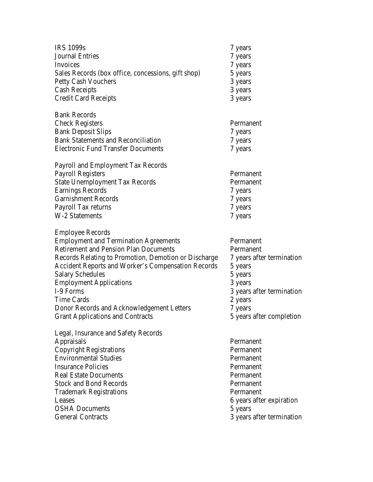| <b>IRS 1099s</b>                                   | 7 years |
|----------------------------------------------------|---------|
| <b>Journal Entries</b>                             | 7 years |
| Invoices                                           | 7 years |
| Sales Records (box office, concessions, gift shop) | 5 years |
| <b>Petty Cash Vouchers</b>                         | 3 years |
| <b>Cash Receipts</b>                               | 3 years |
| <b>Credit Card Receipts</b>                        | 3 years |

| <b>Bank Records</b>                       |         |
|-------------------------------------------|---------|
| <b>Check Registers</b>                    | Permar  |
| <b>Bank Deposit Slips</b>                 | 7 years |
| <b>Bank Statements and Reconciliation</b> | 7 years |
| <b>Electronic Fund Transfer Documents</b> | 7 years |

Payroll and Employment Tax Records Payroll Registers Permanent State Unemployment Tax Records Permanent Earnings Records 7 years 7 years Garnishment Records 7 years 7 years Payroll Tax returns 7 years 7 years W-2 Statements 7 years 7 years

Employee Records Employment and Termination Agreements Permanent Retirement and Pension Plan Documents Permanent Records Relating to Promotion, Demotion or Discharge 7 years after termination Accident Reports and Worker's Compensation Records 5 years Salary Schedules 5 years 5 years Employment Applications 3 years 3 I-9 Forms 3 years after termination Time Cards 2 years 2 years Donor Records and Acknowledgement Letters 7 years Grant Applications and Contracts 5 years after completion

Legal, Insurance and Safety Records Appraisals Permanent Copyright Registrations Permanent Environmental Studies Permanent Insurance Policies **Permanent** Real Estate Documents Permanent Stock and Bond Records Permanent Trademark Registrations **Permanent** Leases 6 years after expiration OSHA Documents 5 years 5 General Contracts 3 years after termination

Permanent 7 years 7 years